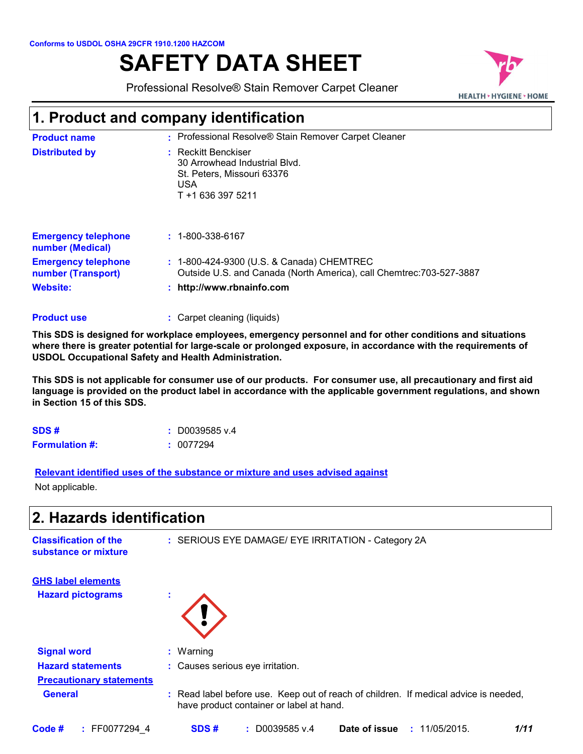# **SAFETY DATA SHEET**



Professional Resolve® Stain Remover Carpet Cleaner

## **1. Product and company identification**

| <b>Product name</b>                              | : Professional Resolve® Stain Remover Carpet Cleaner                                                                  |
|--------------------------------------------------|-----------------------------------------------------------------------------------------------------------------------|
| <b>Distributed by</b>                            | : Reckitt Benckiser<br>30 Arrowhead Industrial Blvd.<br>St. Peters, Missouri 63376<br><b>USA</b><br>T +1 636 397 5211 |
| <b>Emergency telephone</b><br>number (Medical)   | $: 1 - 800 - 338 - 6167$                                                                                              |
| <b>Emergency telephone</b><br>number (Transport) | : 1-800-424-9300 (U.S. & Canada) CHEMTREC<br>Outside U.S. and Canada (North America), call Chemtrec: 703-527-3887     |
| <b>Website:</b>                                  | : http://www.rbnainfo.com                                                                                             |
|                                                  |                                                                                                                       |

#### Carpet cleaning (liquids) **: Product use**

**This SDS is designed for workplace employees, emergency personnel and for other conditions and situations where there is greater potential for large-scale or prolonged exposure, in accordance with the requirements of USDOL Occupational Safety and Health Administration.**

**This SDS is not applicable for consumer use of our products. For consumer use, all precautionary and first aid language is provided on the product label in accordance with the applicable government regulations, and shown in Section 15 of this SDS.**

| SDS#                  | $: $ D0039585 v.4 |
|-----------------------|-------------------|
| <b>Formulation #:</b> | : 0077294         |

| SDS#                                                 | D0039585 v.4                                                                                                                     |  |
|------------------------------------------------------|----------------------------------------------------------------------------------------------------------------------------------|--|
| <b>Formulation #:</b>                                | : 0077294                                                                                                                        |  |
|                                                      | Relevant identified uses of the substance or mixture and uses advised against                                                    |  |
| Not applicable.                                      |                                                                                                                                  |  |
| 2. Hazards identification                            |                                                                                                                                  |  |
| <b>Classification of the</b><br>substance or mixture | : SERIOUS EYE DAMAGE/ EYE IRRITATION - Category 2A                                                                               |  |
| <b>GHS label elements</b>                            |                                                                                                                                  |  |
| <b>Hazard pictograms</b>                             |                                                                                                                                  |  |
| <b>Signal word</b>                                   | : Warning                                                                                                                        |  |
| <b>Hazard statements</b>                             | : Causes serious eye irritation.                                                                                                 |  |
| <b>Precautionary statements</b>                      |                                                                                                                                  |  |
| <b>General</b>                                       | : Read label before use. Keep out of reach of children. If medical advice is needed,<br>have product container or label at hand. |  |
| : FF0077294 4<br>Code #                              | $: $ D0039585 v.4<br><b>Date of issue : 11/05/2015.</b><br>1/11<br>SDS#                                                          |  |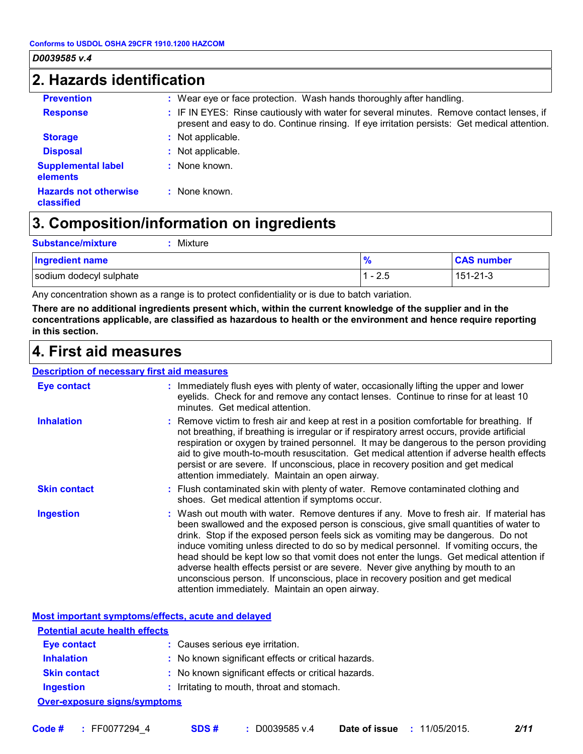#### **2. Hazards identification Supplemental label elements :** None known. **Hazards not otherwise classified :** None known. **Prevention :** Wear eye or face protection. Wash hands thoroughly after handling. **Response :** IF IN EYES: Rinse cautiously with water for several minutes. Remove contact lenses, if present and easy to do. Continue rinsing. If eye irritation persists: Get medical attention. **Storage :** Not applicable. **Disposal :** Not applicable.

## **3. Composition/information on ingredients**

| <b>Substance/mixture</b><br>Mixture |       |                   |
|-------------------------------------|-------|-------------------|
| <b>Ingredient name</b>              |       | <b>CAS number</b> |
| sodium dodecyl sulphate             | - 2.5 | 151-21-3          |

Any concentration shown as a range is to protect confidentiality or is due to batch variation.

**There are no additional ingredients present which, within the current knowledge of the supplier and in the concentrations applicable, are classified as hazardous to health or the environment and hence require reporting in this section.**

## **4. First aid measures**

#### **Description of necessary first aid measures**

| <b>Eye contact</b>  | : Immediately flush eyes with plenty of water, occasionally lifting the upper and lower<br>eyelids. Check for and remove any contact lenses. Continue to rinse for at least 10<br>minutes. Get medical attention.                                                                                                                                                                                                                                                                                                                                                                                                                                                                    |
|---------------------|--------------------------------------------------------------------------------------------------------------------------------------------------------------------------------------------------------------------------------------------------------------------------------------------------------------------------------------------------------------------------------------------------------------------------------------------------------------------------------------------------------------------------------------------------------------------------------------------------------------------------------------------------------------------------------------|
| <b>Inhalation</b>   | : Remove victim to fresh air and keep at rest in a position comfortable for breathing. If<br>not breathing, if breathing is irregular or if respiratory arrest occurs, provide artificial<br>respiration or oxygen by trained personnel. It may be dangerous to the person providing<br>aid to give mouth-to-mouth resuscitation. Get medical attention if adverse health effects<br>persist or are severe. If unconscious, place in recovery position and get medical<br>attention immediately. Maintain an open airway.                                                                                                                                                            |
| <b>Skin contact</b> | : Flush contaminated skin with plenty of water. Remove contaminated clothing and<br>shoes. Get medical attention if symptoms occur.                                                                                                                                                                                                                                                                                                                                                                                                                                                                                                                                                  |
| <b>Ingestion</b>    | : Wash out mouth with water. Remove dentures if any. Move to fresh air. If material has<br>been swallowed and the exposed person is conscious, give small quantities of water to<br>drink. Stop if the exposed person feels sick as vomiting may be dangerous. Do not<br>induce vomiting unless directed to do so by medical personnel. If vomiting occurs, the<br>head should be kept low so that vomit does not enter the lungs. Get medical attention if<br>adverse health effects persist or are severe. Never give anything by mouth to an<br>unconscious person. If unconscious, place in recovery position and get medical<br>attention immediately. Maintain an open airway. |

**Most important symptoms/effects, acute and delayed Inhalation :** No known significant effects or critical hazards. **Ingestion :** Irritating to mouth, throat and stomach. **Skin contact :** No known significant effects or critical hazards. **Eye contact :** Causes serious eye irritation. **Over-exposure signs/symptoms Potential acute health effects**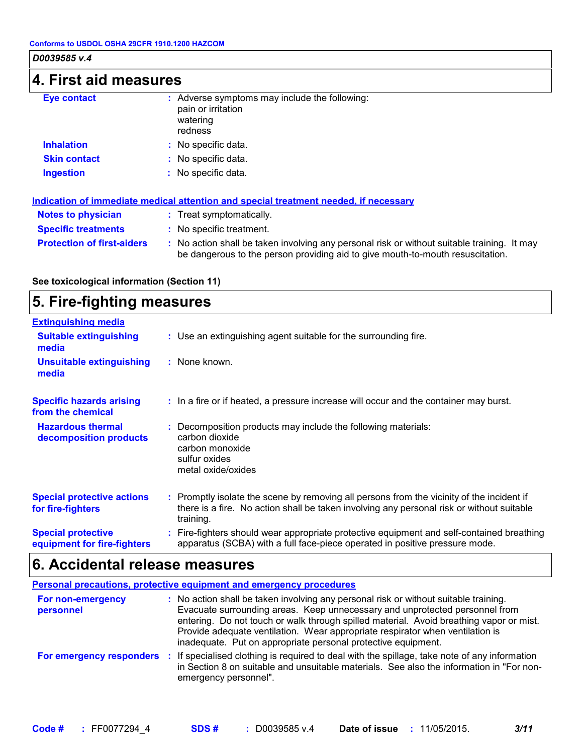## **4. First aid measures**

| <b>Eye contact</b>  | : Adverse symptoms may include the following:<br>pain or irritation<br>watering<br>redness |
|---------------------|--------------------------------------------------------------------------------------------|
| <b>Inhalation</b>   | : No specific data.                                                                        |
| <b>Skin contact</b> | : No specific data.                                                                        |
| <b>Ingestion</b>    | : No specific data.                                                                        |

| Indication of immediate medical attention and special treatment needed, if necessary |                                                                                                                                                                               |  |
|--------------------------------------------------------------------------------------|-------------------------------------------------------------------------------------------------------------------------------------------------------------------------------|--|
| <b>Notes to physician</b>                                                            | : Treat symptomatically.                                                                                                                                                      |  |
| <b>Specific treatments</b>                                                           | : No specific treatment.                                                                                                                                                      |  |
| <b>Protection of first-aiders</b>                                                    | : No action shall be taken involving any personal risk or without suitable training. It may<br>be dangerous to the person providing aid to give mouth-to-mouth resuscitation. |  |

#### **See toxicological information (Section 11)**

| 5. Fire-fighting measures                                |                                                                                                                                                                                                     |  |
|----------------------------------------------------------|-----------------------------------------------------------------------------------------------------------------------------------------------------------------------------------------------------|--|
| <b>Extinguishing media</b>                               |                                                                                                                                                                                                     |  |
| <b>Suitable extinguishing</b><br>media                   | : Use an extinguishing agent suitable for the surrounding fire.                                                                                                                                     |  |
| <b>Unsuitable extinguishing</b><br>media                 | : None known.                                                                                                                                                                                       |  |
| <b>Specific hazards arising</b><br>from the chemical     | : In a fire or if heated, a pressure increase will occur and the container may burst.                                                                                                               |  |
| <b>Hazardous thermal</b><br>decomposition products       | : Decomposition products may include the following materials:<br>carbon dioxide<br>carbon monoxide<br>sulfur oxides<br>metal oxide/oxides                                                           |  |
| <b>Special protective actions</b><br>for fire-fighters   | : Promptly isolate the scene by removing all persons from the vicinity of the incident if<br>there is a fire. No action shall be taken involving any personal risk or without suitable<br>training. |  |
| <b>Special protective</b><br>equipment for fire-fighters | : Fire-fighters should wear appropriate protective equipment and self-contained breathing<br>apparatus (SCBA) with a full face-piece operated in positive pressure mode.                            |  |

## **6. Accidental release measures**

| <b>Personal precautions, protective equipment and emergency procedures</b> |                                                                                                                                                                                                                                                                                                                                                                                                                  |  |
|----------------------------------------------------------------------------|------------------------------------------------------------------------------------------------------------------------------------------------------------------------------------------------------------------------------------------------------------------------------------------------------------------------------------------------------------------------------------------------------------------|--|
| For non-emergency<br>personnel                                             | : No action shall be taken involving any personal risk or without suitable training.<br>Evacuate surrounding areas. Keep unnecessary and unprotected personnel from<br>entering. Do not touch or walk through spilled material. Avoid breathing vapor or mist.<br>Provide adequate ventilation. Wear appropriate respirator when ventilation is<br>inadequate. Put on appropriate personal protective equipment. |  |
| For emergency responders :                                                 | If specialised clothing is required to deal with the spillage, take note of any information<br>in Section 8 on suitable and unsuitable materials. See also the information in "For non-<br>emergency personnel".                                                                                                                                                                                                 |  |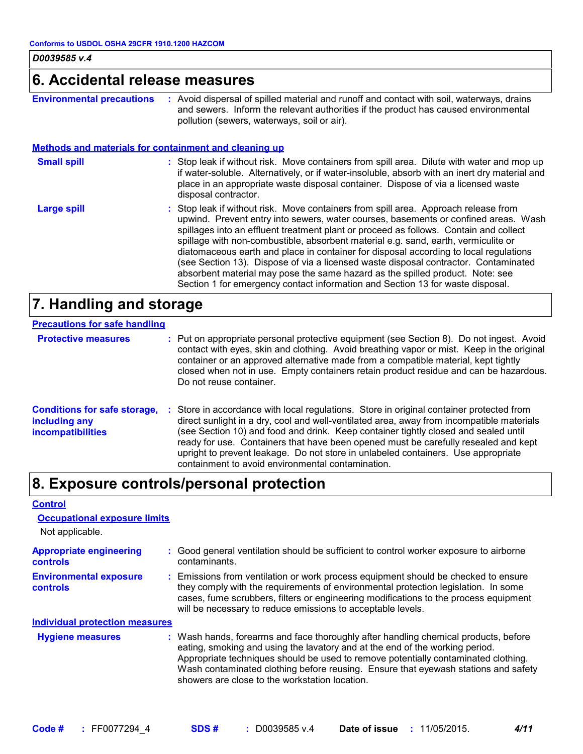**Control**

### **6. Accidental release measures**

**Environmental precautions :** Avoid dispersal of spilled material and runoff and contact with soil, waterways, drains and sewers. Inform the relevant authorities if the product has caused environmental pollution (sewers, waterways, soil or air).

**Methods and materials for containment and cleaning up**

| <b>Small spill</b> | : Stop leak if without risk. Move containers from spill area. Dilute with water and mop up<br>if water-soluble. Alternatively, or if water-insoluble, absorb with an inert dry material and<br>place in an appropriate waste disposal container. Dispose of via a licensed waste<br>disposal contractor.                                                                                                                                                                                                                                                                                                                                                                                                     |
|--------------------|--------------------------------------------------------------------------------------------------------------------------------------------------------------------------------------------------------------------------------------------------------------------------------------------------------------------------------------------------------------------------------------------------------------------------------------------------------------------------------------------------------------------------------------------------------------------------------------------------------------------------------------------------------------------------------------------------------------|
| Large spill        | : Stop leak if without risk. Move containers from spill area. Approach release from<br>upwind. Prevent entry into sewers, water courses, basements or confined areas. Wash<br>spillages into an effluent treatment plant or proceed as follows. Contain and collect<br>spillage with non-combustible, absorbent material e.g. sand, earth, vermiculite or<br>diatomaceous earth and place in container for disposal according to local regulations<br>(see Section 13). Dispose of via a licensed waste disposal contractor. Contaminated<br>absorbent material may pose the same hazard as the spilled product. Note: see<br>Section 1 for emergency contact information and Section 13 for waste disposal. |

### **7. Handling and storage**

| <b>Precautions for safe handling</b>                                             |                                                                                                                                                                                                                                                                                                                                                                                                                                                                                                               |
|----------------------------------------------------------------------------------|---------------------------------------------------------------------------------------------------------------------------------------------------------------------------------------------------------------------------------------------------------------------------------------------------------------------------------------------------------------------------------------------------------------------------------------------------------------------------------------------------------------|
| <b>Protective measures</b>                                                       | : Put on appropriate personal protective equipment (see Section 8). Do not ingest. Avoid<br>contact with eyes, skin and clothing. Avoid breathing vapor or mist. Keep in the original<br>container or an approved alternative made from a compatible material, kept tightly<br>closed when not in use. Empty containers retain product residue and can be hazardous.<br>Do not reuse container.                                                                                                               |
| <b>Conditions for safe storage,</b><br>including any<br><b>incompatibilities</b> | : Store in accordance with local regulations. Store in original container protected from<br>direct sunlight in a dry, cool and well-ventilated area, away from incompatible materials<br>(see Section 10) and food and drink. Keep container tightly closed and sealed until<br>ready for use. Containers that have been opened must be carefully resealed and kept<br>upright to prevent leakage. Do not store in unlabeled containers. Use appropriate<br>containment to avoid environmental contamination. |

### **8. Exposure controls/personal protection**

| <b>CONTROL</b>                                    |                                                                                                                                                                                                                                                                                                                                                                                                   |
|---------------------------------------------------|---------------------------------------------------------------------------------------------------------------------------------------------------------------------------------------------------------------------------------------------------------------------------------------------------------------------------------------------------------------------------------------------------|
| <b>Occupational exposure limits</b>               |                                                                                                                                                                                                                                                                                                                                                                                                   |
| Not applicable.                                   |                                                                                                                                                                                                                                                                                                                                                                                                   |
| <b>Appropriate engineering</b><br><b>controls</b> | : Good general ventilation should be sufficient to control worker exposure to airborne<br>contaminants.                                                                                                                                                                                                                                                                                           |
| <b>Environmental exposure</b><br><b>controls</b>  | : Emissions from ventilation or work process equipment should be checked to ensure<br>they comply with the requirements of environmental protection legislation. In some<br>cases, fume scrubbers, filters or engineering modifications to the process equipment<br>will be necessary to reduce emissions to acceptable levels.                                                                   |
| <b>Individual protection measures</b>             |                                                                                                                                                                                                                                                                                                                                                                                                   |
| <b>Hygiene measures</b>                           | : Wash hands, forearms and face thoroughly after handling chemical products, before<br>eating, smoking and using the lavatory and at the end of the working period.<br>Appropriate techniques should be used to remove potentially contaminated clothing.<br>Wash contaminated clothing before reusing. Ensure that eyewash stations and safety<br>showers are close to the workstation location. |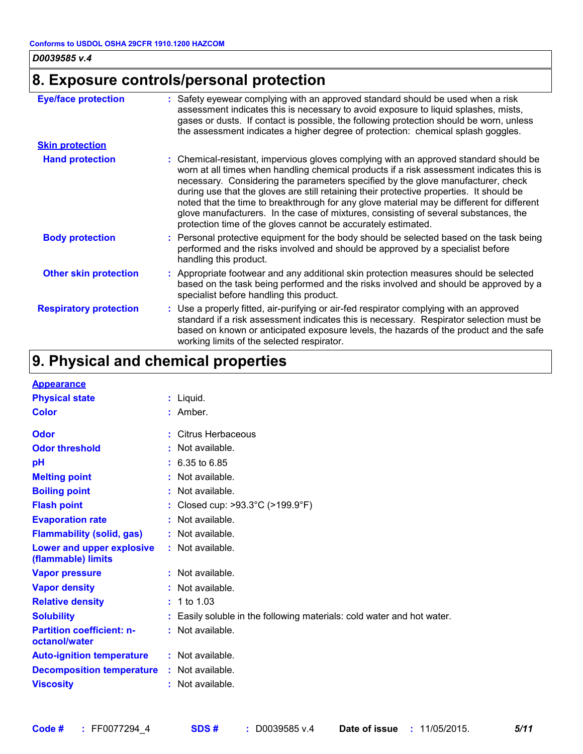## **8. Exposure controls/personal protection**

| <b>Eye/face protection</b>    |                                                                                                                                                                                                                                                                                                                                                                                                                                                                                                                                                                                                                        | Safety eyewear complying with an approved standard should be used when a risk<br>assessment indicates this is necessary to avoid exposure to liquid splashes, mists,<br>gases or dusts. If contact is possible, the following protection should be worn, unless<br>the assessment indicates a higher degree of protection: chemical splash goggles. |
|-------------------------------|------------------------------------------------------------------------------------------------------------------------------------------------------------------------------------------------------------------------------------------------------------------------------------------------------------------------------------------------------------------------------------------------------------------------------------------------------------------------------------------------------------------------------------------------------------------------------------------------------------------------|-----------------------------------------------------------------------------------------------------------------------------------------------------------------------------------------------------------------------------------------------------------------------------------------------------------------------------------------------------|
| <b>Skin protection</b>        |                                                                                                                                                                                                                                                                                                                                                                                                                                                                                                                                                                                                                        |                                                                                                                                                                                                                                                                                                                                                     |
| <b>Hand protection</b>        | : Chemical-resistant, impervious gloves complying with an approved standard should be<br>worn at all times when handling chemical products if a risk assessment indicates this is<br>necessary. Considering the parameters specified by the glove manufacturer, check<br>during use that the gloves are still retaining their protective properties. It should be<br>noted that the time to breakthrough for any glove material may be different for different<br>glove manufacturers. In the case of mixtures, consisting of several substances, the<br>protection time of the gloves cannot be accurately estimated. |                                                                                                                                                                                                                                                                                                                                                     |
| <b>Body protection</b>        |                                                                                                                                                                                                                                                                                                                                                                                                                                                                                                                                                                                                                        | : Personal protective equipment for the body should be selected based on the task being<br>performed and the risks involved and should be approved by a specialist before<br>handling this product.                                                                                                                                                 |
| <b>Other skin protection</b>  | : Appropriate footwear and any additional skin protection measures should be selected<br>based on the task being performed and the risks involved and should be approved by a<br>specialist before handling this product.                                                                                                                                                                                                                                                                                                                                                                                              |                                                                                                                                                                                                                                                                                                                                                     |
| <b>Respiratory protection</b> |                                                                                                                                                                                                                                                                                                                                                                                                                                                                                                                                                                                                                        | : Use a properly fitted, air-purifying or air-fed respirator complying with an approved<br>standard if a risk assessment indicates this is necessary. Respirator selection must be<br>based on known or anticipated exposure levels, the hazards of the product and the safe<br>working limits of the selected respirator.                          |

## **9. Physical and chemical properties**

| <b>Appearance</b>                                 |                                                                        |
|---------------------------------------------------|------------------------------------------------------------------------|
| <b>Physical state</b>                             | : Liquid.                                                              |
| <b>Color</b>                                      | $:$ Amber.                                                             |
| Odor                                              | : Citrus Herbaceous                                                    |
| <b>Odor threshold</b>                             | : Not available.                                                       |
| pH                                                | $: 6.35 \text{ to } 6.85$                                              |
| <b>Melting point</b>                              | : Not available.                                                       |
| <b>Boiling point</b>                              | : Not available.                                                       |
| <b>Flash point</b>                                | : Closed cup: >93.3°C (>199.9°F)                                       |
| <b>Evaporation rate</b>                           | : Not available.                                                       |
| <b>Flammability (solid, gas)</b>                  | : Not available.                                                       |
| Lower and upper explosive<br>(flammable) limits   | : Not available.                                                       |
| <b>Vapor pressure</b>                             | : Not available.                                                       |
| <b>Vapor density</b>                              | : Not available.                                                       |
| <b>Relative density</b>                           | : 1 to 1.03                                                            |
| <b>Solubility</b>                                 | : Easily soluble in the following materials: cold water and hot water. |
| <b>Partition coefficient: n-</b><br>octanol/water | : Not available.                                                       |
| <b>Auto-ignition temperature</b>                  | : Not available.                                                       |
| <b>Decomposition temperature</b>                  | : Not available.                                                       |
| <b>Viscosity</b>                                  | : Not available.                                                       |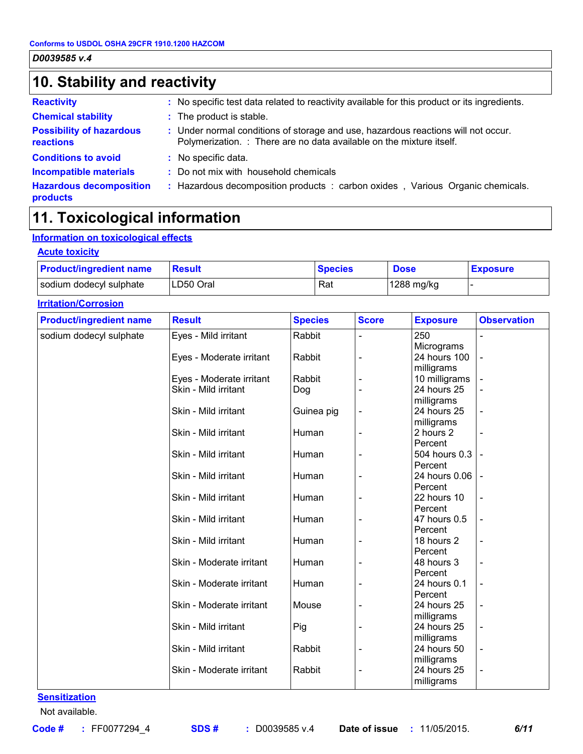## **10. Stability and reactivity**

| <b>Reactivity</b>                            | : No specific test data related to reactivity available for this product or its ingredients.                                                              |
|----------------------------------------------|-----------------------------------------------------------------------------------------------------------------------------------------------------------|
| <b>Chemical stability</b>                    | : The product is stable.                                                                                                                                  |
| <b>Possibility of hazardous</b><br>reactions | : Under normal conditions of storage and use, hazardous reactions will not occur.<br>Polymerization. : There are no data available on the mixture itself. |
| <b>Conditions to avoid</b>                   | : No specific data.                                                                                                                                       |
| <b>Incompatible materials</b>                | : Do not mix with household chemicals                                                                                                                     |
| <b>Hazardous decomposition</b><br>products   | : Hazardous decomposition products : carbon oxides, Various Organic chemicals.                                                                            |

## **11. Toxicological information**

#### **Information on toxicological effects**

#### **Acute toxicity**

| <b>Product/ingredient name</b> | Result    | <b>Species</b> | <b>Dose</b> | <b>Exposure</b> |
|--------------------------------|-----------|----------------|-------------|-----------------|
| sodium dodecyl sulphate        | LD50 Oral | Rat            | 1288 mg/kg  |                 |

#### **Irritation/Corrosion**

| <b>Product/ingredient name</b> | <b>Result</b>            | <b>Species</b> | <b>Score</b> | <b>Exposure</b> | <b>Observation</b>       |
|--------------------------------|--------------------------|----------------|--------------|-----------------|--------------------------|
| sodium dodecyl sulphate        | Eyes - Mild irritant     | Rabbit         |              | 250             |                          |
|                                |                          |                |              | Micrograms      |                          |
|                                | Eyes - Moderate irritant | Rabbit         |              | 24 hours 100    |                          |
|                                |                          |                |              | milligrams      |                          |
|                                | Eyes - Moderate irritant | Rabbit         |              | 10 milligrams   |                          |
|                                | Skin - Mild irritant     | Dog            |              | 24 hours 25     |                          |
|                                |                          |                |              | milligrams      |                          |
|                                | Skin - Mild irritant     | Guinea pig     |              | 24 hours 25     |                          |
|                                |                          |                |              | milligrams      |                          |
|                                | Skin - Mild irritant     | Human          |              | 2 hours 2       |                          |
|                                |                          |                |              | Percent         |                          |
|                                | Skin - Mild irritant     | Human          |              | 504 hours 0.3   |                          |
|                                |                          |                |              | Percent         |                          |
|                                | Skin - Mild irritant     | Human          |              | 24 hours 0.06   |                          |
|                                |                          |                |              | Percent         |                          |
|                                | Skin - Mild irritant     | Human          |              | 22 hours 10     |                          |
|                                |                          |                |              | Percent         |                          |
|                                | Skin - Mild irritant     | Human          |              | 47 hours 0.5    |                          |
|                                |                          |                |              | Percent         |                          |
|                                | Skin - Mild irritant     | Human          |              | 18 hours 2      |                          |
|                                |                          |                |              | Percent         |                          |
|                                | Skin - Moderate irritant | Human          |              | 48 hours 3      |                          |
|                                |                          |                |              | Percent         |                          |
|                                | Skin - Moderate irritant | Human          |              | 24 hours 0.1    |                          |
|                                |                          |                |              | Percent         |                          |
|                                | Skin - Moderate irritant | Mouse          |              | 24 hours 25     |                          |
|                                |                          |                |              | milligrams      |                          |
|                                | Skin - Mild irritant     | Pig            |              | 24 hours 25     |                          |
|                                |                          |                |              | milligrams      |                          |
|                                | Skin - Mild irritant     | Rabbit         |              | 24 hours 50     |                          |
|                                |                          |                |              | milligrams      |                          |
|                                | Skin - Moderate irritant | Rabbit         |              | 24 hours 25     | $\overline{\phantom{a}}$ |
|                                |                          |                |              | milligrams      |                          |

**Sensitization**

Not available.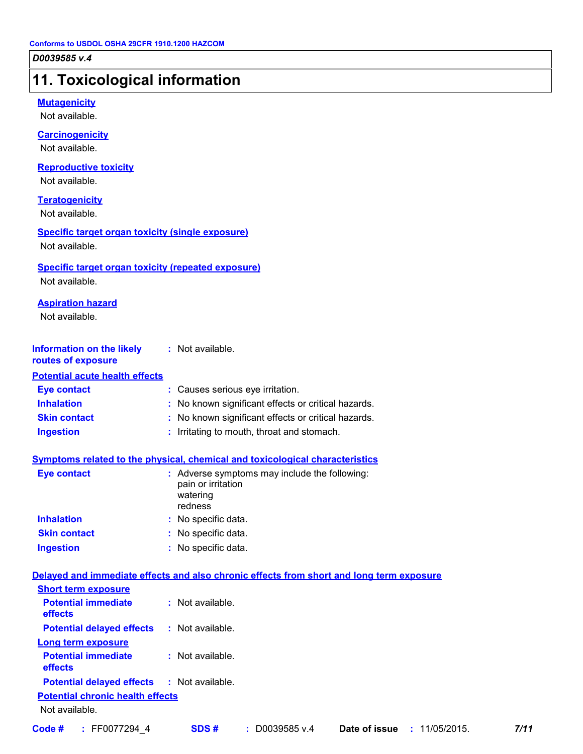### **11. Toxicological information**

#### **Mutagenicity**

Not available.

#### **Carcinogenicity** Not available.

#### **Reproductive toxicity**

Not available.

#### **Teratogenicity**

Not available.

#### **Specific target organ toxicity (single exposure)**

Not available.

#### **Specific target organ toxicity (repeated exposure)**

Not available.

#### **Aspiration hazard**

Not available.

### **Information on the likely :** Not available.

### **routes of exposure**

| <b>Potential acute health effects</b> |                                                     |
|---------------------------------------|-----------------------------------------------------|
| Eye contact                           | : Causes serious eye irritation.                    |
| <b>Inhalation</b>                     | : No known significant effects or critical hazards. |
| <b>Skin contact</b>                   | : No known significant effects or critical hazards. |
| <b>Ingestion</b>                      | : Irritating to mouth, throat and stomach.          |

#### **Symptoms related to the physical, chemical and toxicological characteristics**

| <b>Eye contact</b>  | : Adverse symptoms may include the following:<br>pain or irritation<br>watering<br>redness |
|---------------------|--------------------------------------------------------------------------------------------|
| <b>Inhalation</b>   | : No specific data.                                                                        |
| <b>Skin contact</b> | : No specific data.                                                                        |
| <b>Ingestion</b>    | : No specific data.                                                                        |

### **Delayed and immediate effects and also chronic effects from short and long term exposure**

| <b>Short term exposure</b>                        |                    |
|---------------------------------------------------|--------------------|
| <b>Potential immediate</b><br>effects             | $:$ Not available. |
| <b>Potential delayed effects : Not available.</b> |                    |
| Long term exposure                                |                    |
| <b>Potential immediate</b><br>effects             | $:$ Not available. |
| <b>Potential delayed effects : Not available.</b> |                    |
| <b>Potential chronic health effects</b>           |                    |
| Not available.                                    |                    |
|                                                   |                    |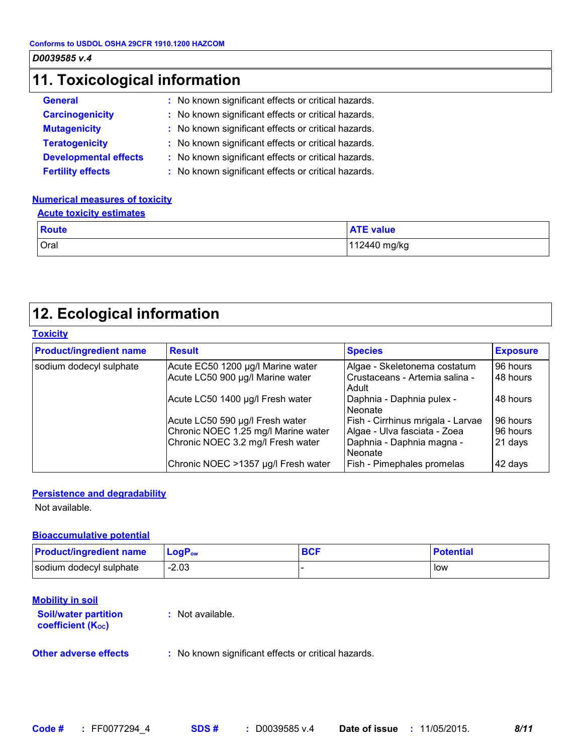### **11. Toxicological information**

| <b>General</b>               | : No known significant effects or critical hazards. |
|------------------------------|-----------------------------------------------------|
| <b>Carcinogenicity</b>       | : No known significant effects or critical hazards. |
| <b>Mutagenicity</b>          | : No known significant effects or critical hazards. |
| <b>Teratogenicity</b>        | : No known significant effects or critical hazards. |
| <b>Developmental effects</b> | : No known significant effects or critical hazards. |
| <b>Fertility effects</b>     | : No known significant effects or critical hazards. |

#### **Numerical measures of toxicity**

#### **Acute toxicity estimates**

| Route | <b>ATE value</b> |
|-------|------------------|
| Oral  | 112440 mg/kg     |

## **12. Ecological information**

#### **Toxicity**

| <b>Product/ingredient name</b> | <b>Result</b>                       | <b>Species</b>                          | <b>Exposure</b> |
|--------------------------------|-------------------------------------|-----------------------------------------|-----------------|
| sodium dodecyl sulphate        | Acute EC50 1200 µg/l Marine water   | Algae - Skeletonema costatum            | 96 hours        |
|                                | Acute LC50 900 µg/l Marine water    | Crustaceans - Artemia salina -<br>Adult | 48 hours        |
|                                | Acute LC50 1400 µg/l Fresh water    | Daphnia - Daphnia pulex -<br>Neonate    | 48 hours        |
|                                | Acute LC50 590 µg/l Fresh water     | Fish - Cirrhinus mrigala - Larvae       | 96 hours        |
|                                | Chronic NOEC 1.25 mg/l Marine water | Algae - Ulva fasciata - Zoea            | 96 hours        |
|                                | Chronic NOEC 3.2 mg/l Fresh water   | Daphnia - Daphnia magna -<br>Neonate    | 21 days         |
|                                | Chronic NOEC >1357 µg/l Fresh water | Fish - Pimephales promelas              | 42 days         |

#### **Persistence and degradability**

Not available.

#### **Bioaccumulative potential**

| <b>Product/ingredient name</b> | $\mathsf{LogP}_\mathsf{ow}$ | <b>BCF</b> | <b>Potential</b> |
|--------------------------------|-----------------------------|------------|------------------|
| sodium dodecyl sulphate        | $-2.03$                     |            | low              |

#### **Mobility in soil**

| <b>Soil/water partition</b><br>coefficient (K <sub>oc</sub> ) | : Not available.                                    |
|---------------------------------------------------------------|-----------------------------------------------------|
| <b>Other adverse effects</b>                                  | : No known significant effects or critical hazards. |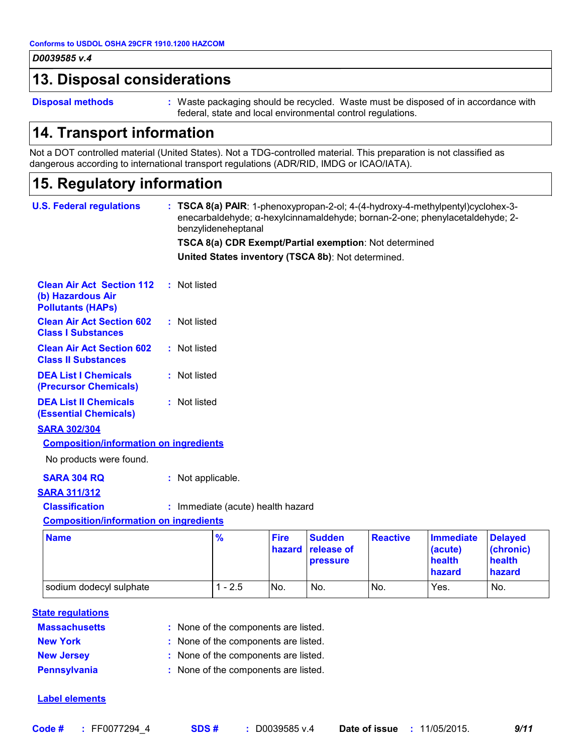## **13. Disposal considerations**

**Disposal methods :**

Waste packaging should be recycled. Waste must be disposed of in accordance with federal, state and local environmental control regulations.

### **14. Transport information**

Not a DOT controlled material (United States). Not a TDG-controlled material. This preparation is not classified as dangerous according to international transport regulations (ADR/RID, IMDG or ICAO/IATA).

### **15. Regulatory information**

| <b>U.S. Federal regulations</b>                                                   |  | : TSCA 8(a) PAIR: 1-phenoxypropan-2-ol; 4-(4-hydroxy-4-methylpentyl)cyclohex-3-<br>enecarbaldehyde; a-hexylcinnamaldehyde; bornan-2-one; phenylacetaldehyde; 2-<br>benzylideneheptanal |                       |                                         |                 |                                                 |                                                 |
|-----------------------------------------------------------------------------------|--|----------------------------------------------------------------------------------------------------------------------------------------------------------------------------------------|-----------------------|-----------------------------------------|-----------------|-------------------------------------------------|-------------------------------------------------|
|                                                                                   |  | TSCA 8(a) CDR Exempt/Partial exemption: Not determined                                                                                                                                 |                       |                                         |                 |                                                 |                                                 |
|                                                                                   |  | United States inventory (TSCA 8b): Not determined.                                                                                                                                     |                       |                                         |                 |                                                 |                                                 |
| <b>Clean Air Act Section 112</b><br>(b) Hazardous Air<br><b>Pollutants (HAPs)</b> |  | : Not listed                                                                                                                                                                           |                       |                                         |                 |                                                 |                                                 |
| <b>Clean Air Act Section 602</b><br><b>Class I Substances</b>                     |  | : Not listed                                                                                                                                                                           |                       |                                         |                 |                                                 |                                                 |
| <b>Clean Air Act Section 602</b><br><b>Class II Substances</b>                    |  | : Not listed                                                                                                                                                                           |                       |                                         |                 |                                                 |                                                 |
| <b>DEA List I Chemicals</b><br>(Precursor Chemicals)                              |  | : Not listed                                                                                                                                                                           |                       |                                         |                 |                                                 |                                                 |
| <b>DEA List II Chemicals</b><br><b>(Essential Chemicals)</b>                      |  | : Not listed                                                                                                                                                                           |                       |                                         |                 |                                                 |                                                 |
| <b>SARA 302/304</b>                                                               |  |                                                                                                                                                                                        |                       |                                         |                 |                                                 |                                                 |
| <b>Composition/information on ingredients</b>                                     |  |                                                                                                                                                                                        |                       |                                         |                 |                                                 |                                                 |
| No products were found.                                                           |  |                                                                                                                                                                                        |                       |                                         |                 |                                                 |                                                 |
| <b>SARA 304 RQ</b>                                                                |  | : Not applicable.                                                                                                                                                                      |                       |                                         |                 |                                                 |                                                 |
| <b>SARA 311/312</b>                                                               |  |                                                                                                                                                                                        |                       |                                         |                 |                                                 |                                                 |
| <b>Classification</b>                                                             |  | : Immediate (acute) health hazard                                                                                                                                                      |                       |                                         |                 |                                                 |                                                 |
| <b>Composition/information on ingredients</b>                                     |  |                                                                                                                                                                                        |                       |                                         |                 |                                                 |                                                 |
| <b>Name</b>                                                                       |  | $\frac{9}{6}$                                                                                                                                                                          | <b>Fire</b><br>hazard | <b>Sudden</b><br>release of<br>pressure | <b>Reactive</b> | <b>Immediate</b><br>(acute)<br>health<br>hazard | <b>Delayed</b><br>(chronic)<br>health<br>hazard |
| sodium dodecyl sulphate                                                           |  | $1 - 2.5$                                                                                                                                                                              | No.                   | No.                                     | No.             | Yes.                                            | No.                                             |

#### **State regulations**

| <b>Massachusetts</b> | : None of the components are listed. |
|----------------------|--------------------------------------|
| <b>New York</b>      | : None of the components are listed. |
| <b>New Jersey</b>    | : None of the components are listed. |
| <b>Pennsylvania</b>  | : None of the components are listed. |

#### **Label elements**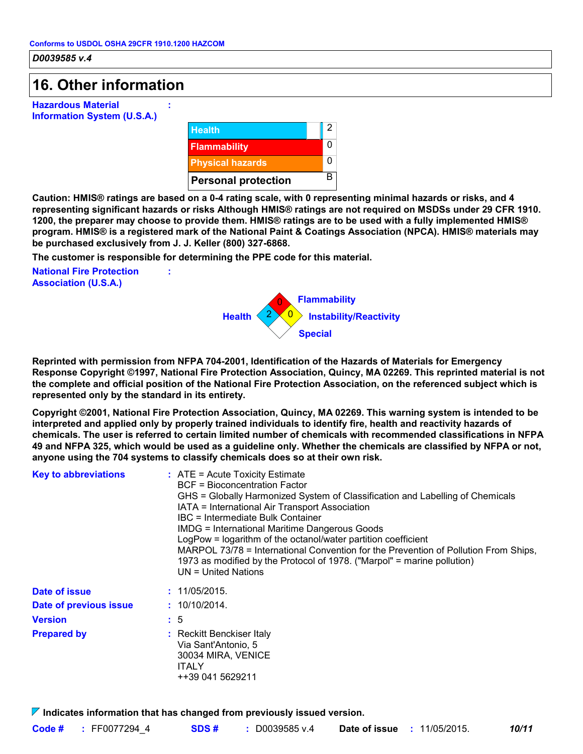### **16. Other information**

**Hazardous Material Information System (U.S.A.)**



**Caution: HMIS® ratings are based on a 0-4 rating scale, with 0 representing minimal hazards or risks, and 4 representing significant hazards or risks Although HMIS® ratings are not required on MSDSs under 29 CFR 1910. 1200, the preparer may choose to provide them. HMIS® ratings are to be used with a fully implemented HMIS® program. HMIS® is a registered mark of the National Paint & Coatings Association (NPCA). HMIS® materials may be purchased exclusively from J. J. Keller (800) 327-6868.**

**The customer is responsible for determining the PPE code for this material.**

**:**

**:**

**National Fire Protection Association (U.S.A.)**



**Reprinted with permission from NFPA 704-2001, Identification of the Hazards of Materials for Emergency Response Copyright ©1997, National Fire Protection Association, Quincy, MA 02269. This reprinted material is not the complete and official position of the National Fire Protection Association, on the referenced subject which is represented only by the standard in its entirety.**

**Copyright ©2001, National Fire Protection Association, Quincy, MA 02269. This warning system is intended to be interpreted and applied only by properly trained individuals to identify fire, health and reactivity hazards of chemicals. The user is referred to certain limited number of chemicals with recommended classifications in NFPA 49 and NFPA 325, which would be used as a guideline only. Whether the chemicals are classified by NFPA or not, anyone using the 704 systems to classify chemicals does so at their own risk.**

| <b>Key to abbreviations</b> | $:$ ATE = Acute Toxicity Estimate<br>BCF = Bioconcentration Factor<br>GHS = Globally Harmonized System of Classification and Labelling of Chemicals<br>IATA = International Air Transport Association<br>IBC = Intermediate Bulk Container<br><b>IMDG = International Maritime Dangerous Goods</b><br>LogPow = logarithm of the octanol/water partition coefficient<br>MARPOL 73/78 = International Convention for the Prevention of Pollution From Ships,<br>1973 as modified by the Protocol of 1978. ("Marpol" = marine pollution)<br>UN = United Nations |
|-----------------------------|--------------------------------------------------------------------------------------------------------------------------------------------------------------------------------------------------------------------------------------------------------------------------------------------------------------------------------------------------------------------------------------------------------------------------------------------------------------------------------------------------------------------------------------------------------------|
| Date of issue               | : 11/05/2015.                                                                                                                                                                                                                                                                                                                                                                                                                                                                                                                                                |
| Date of previous issue      | : 10/10/2014.                                                                                                                                                                                                                                                                                                                                                                                                                                                                                                                                                |
| <b>Version</b>              | $\therefore$ 5                                                                                                                                                                                                                                                                                                                                                                                                                                                                                                                                               |
| <b>Prepared by</b>          | : Reckitt Benckiser Italy<br>Via Sant'Antonio, 5<br>30034 MIRA, VENICE<br><b>ITALY</b><br>++39 041 5629211                                                                                                                                                                                                                                                                                                                                                                                                                                                   |

**Indicates information that has changed from previously issued version.**